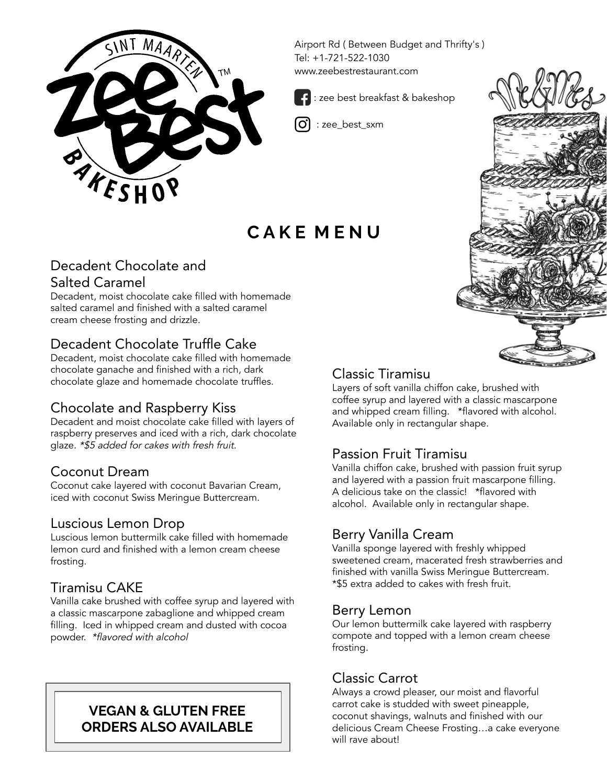

Airport Rd ( Between Budget and Thrifty's ) Tel: +1-721-522-1030 www.zeebestrestaurant.com



: zee\_best\_sxm

# **C A K E M E N U**

J

l.

## Decadent Chocolate and Salted Caramel

Decadent, moist chocolate cake filled with homemade salted caramel and finished with a salted caramel cream cheese frosting and drizzle.

## Decadent Chocolate Truffle Cake

Decadent, moist chocolate cake filled with homemade chocolate ganache and finished with a rich, dark chocolate glaze and homemade chocolate truffles.

### Chocolate and Raspberry Kiss

Decadent and moist chocolate cake filled with layers of raspberry preserves and iced with a rich, dark chocolate glaze. \*\$5 added for cakes with fresh fruit.

## Coconut Dream

Coconut cake layered with coconut Bavarian Cream, iced with coconut Swiss Meringue Buttercream.

#### Luscious Lemon Drop

Luscious lemon buttermilk cake filled with homemade lemon curd and finished with a lemon cream cheese frosting.

### Tiramisu CAKE

Vanilla cake brushed with coffee syrup and layered with a classic mascarpone zabaglione and whipped cream filling. Iced in whipped cream and dusted with cocoa powder. \*flavored with alcohol

#### **VEGAN & GLUTEN FREE ORDERS ALSO AVAILABLE**

## Classic Tiramisu

Layers of soft vanilla chiffon cake, brushed with coffee syrup and layered with a classic mascarpone and whipped cream filling. \*flavored with alcohol. Available only in rectangular shape.

## Passion Fruit Tiramisu

Vanilla chiffon cake, brushed with passion fruit syrup and layered with a passion fruit mascarpone filling. A delicious take on the classic! \*flavored with alcohol. Available only in rectangular shape.

### Berry Vanilla Cream

Vanilla sponge layered with freshly whipped sweetened cream, macerated fresh strawberries and finished with vanilla Swiss Meringue Buttercream. \*\$5 extra added to cakes with fresh fruit.

#### Berry Lemon

Our lemon buttermilk cake layered with raspberry compote and topped with a lemon cream cheese frosting.

### Classic Carrot

Always a crowd pleaser, our moist and flavorful carrot cake is studded with sweet pineapple, coconut shavings, walnuts and finished with our delicious Cream Cheese Frosting…a cake everyone will rave about!